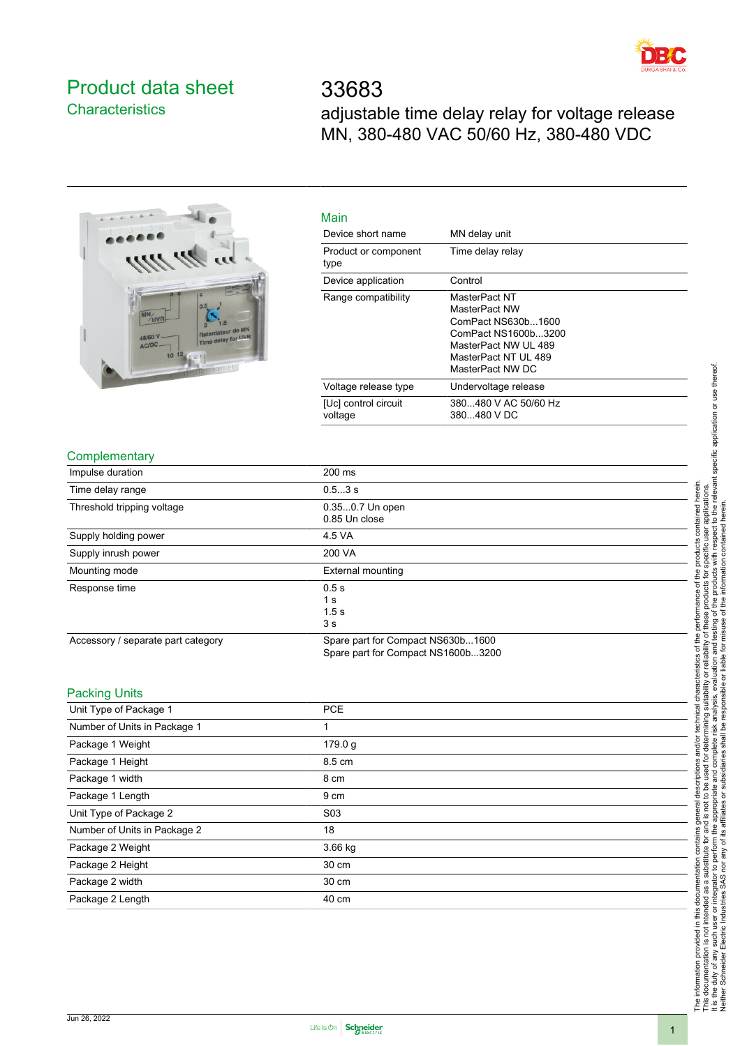

# <span id="page-0-0"></span>Product data sheet **Characteristics**

33683 adjustable time delay relay for voltage release MN, 380-480 VAC 50/60 Hz, 380-480 VDC



| Main                            |                                                                                                                                                 |
|---------------------------------|-------------------------------------------------------------------------------------------------------------------------------------------------|
| Device short name               | MN delay unit                                                                                                                                   |
| Product or component<br>type    | Time delay relay                                                                                                                                |
| Device application              | Control                                                                                                                                         |
| Range compatibility             | MasterPact NT<br>MasterPact NW<br>ComPact NS630b1600<br>ComPact NS1600b3200<br>MasterPact NW UL 489<br>MasterPact NT UL 489<br>MasterPact NW DC |
| Voltage release type            | Undervoltage release                                                                                                                            |
| [Uc] control circuit<br>voltage | 380480 V AC 50/60 Hz<br>380480 V DC                                                                                                             |

### **Complementary**

| Impulse duration                   | 200 ms                             |  |
|------------------------------------|------------------------------------|--|
|                                    |                                    |  |
| Time delay range                   | 0.53 s                             |  |
| Threshold tripping voltage         | 0.350.7 Un open                    |  |
|                                    | 0.85 Un close                      |  |
| Supply holding power               | 4.5 VA                             |  |
| Supply inrush power                | 200 VA                             |  |
| Mounting mode                      | External mounting                  |  |
| Response time                      | 0.5s                               |  |
|                                    | 1 <sub>s</sub>                     |  |
|                                    | 1.5s                               |  |
|                                    | 3 <sub>s</sub>                     |  |
| Accessory / separate part category | Spare part for Compact NS630b1600  |  |
|                                    | Spare part for Compact NS1600b3200 |  |

#### Packing Units

| <b>PCE</b>       |  |
|------------------|--|
| 1                |  |
| 179.0 g          |  |
| 8.5 cm           |  |
| 8 cm             |  |
| 9 cm             |  |
| S <sub>0</sub> 3 |  |
| 18               |  |
| $3.66$ kg        |  |
| 30 cm            |  |
| 30 cm            |  |
| 40 cm            |  |
|                  |  |